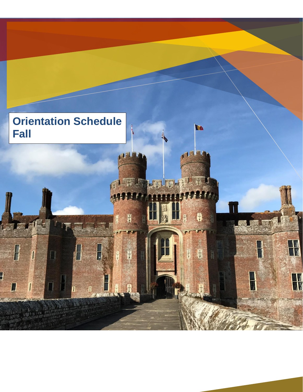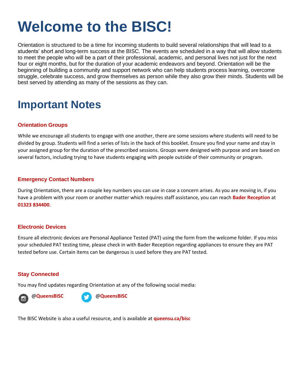# **Welcome to the BISC!**

Orientation is structured to be a time for incoming students to build several relationships that will lead to a students' short and long-term success at the BISC. The events are scheduled in a way that will allow students to meet the people who will be a part of their professional, academic, and personal lives not just for the next four or eight months, but for the duration of your academic endeavors and beyond. Orientation will be the beginning of building a community and support network who can help students process learning, overcome struggle, celebrate success, and grow themselves as person while they also grow their minds. Students will be best served by attending as many of the sessions as they can.

## **Important Notes**

#### **Orientation Groups**

While we encourage all students to engage with one another, there are some sessions where students will need to be divided by group. Students will find a series of lists in the back of this booklet. Ensure you find your name and stay in your assigned group for the duration of the prescribed sessions. Groups were designed with purpose and are based on several factors, including trying to have students engaging with people outside of their community or program.

#### **Emergency Contact Numbers**

During Orientation, there are a couple key numbers you can use in case a concern arises. As you are moving in, if you have a problem with your room or another matter which requires staff assistance, you can reach **Bader Reception** at **01323 834400**.

#### **Electronic Devices**

Ensure all electronic devices are Personal Appliance Tested (PAT) using the form from the welcome folder. If you miss your scheduled PAT testing time, please check in with Bader Reception regarding appliances to ensure they are PAT tested before use. Certain items can be dangerous is used before they are PAT tested.

#### **Stay Connected**

You may find updates regarding Orientation at any of the following social media:



@**QueensBISC** @**QueensBISC** 

The BISC Website is also a useful resource, and is available at **queensu.ca/bisc**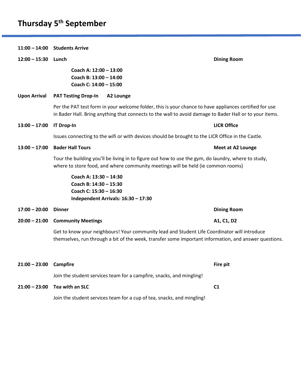### **Thursday 5 th September**

**11:00 – 14:00 Students Arrive 12:00 – 15:30 Lunch Dining Room Coach A: 12:00 – 13:00 Coach B: 13:00 – 14:00 Coach C: 14:00 – 15:00 Upon Arrival PAT Testing Drop-In A2 Lounge** Per the PAT test form in your welcome folder, this is your chance to have appliances certified for use in Bader Hall. Bring anything that connects to the wall to avoid damage to Bader Hall or to your items. **13:00 – 17:00 IT Drop-In LICR Office** Issues connecting to the wifi or with devices should be brought to the LICR Office in the Castle. **13:00 – 17:00 Bader Hall Tours Meet at A2 Lounge** Tour the building you'll be living in to figure out how to use the gym, do laundry, where to study, where to store food, and where community meetings will be held (ie common rooms) **Coach A: 13:30 – 14:30 Coach B: 14:30 – 15:30 Coach C: 15:30 – 16:30 Independent Arrivals: 16:30 – 17:30 17:00 – 20:00 Dinner Dining Room 20:00 – 21:00 Community Meetings A1, C1, D2** Get to know your neighbours! Your community lead and Student Life Coordinator will introduce themselves, run through a bit of the week, transfer some important information, and answer questions. **21:00 – 23:00 Campfire Fire pit** Join the student services team for a campfire, snacks, and mingling! **21:00 – 23:00 Tea with an SLC C1**

Join the student services team for a cup of tea, snacks, and mingling!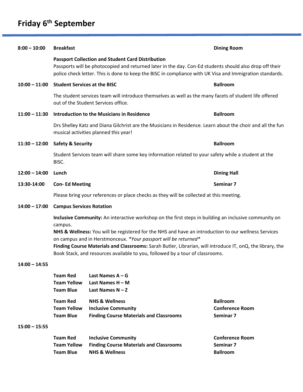### **Friday 6 th September**

| $8:00 - 10:00$  | <b>Breakfast</b>                                                                                                                                                                                                                                                                                                               |                                                                                                                                                     | <b>Dining Room</b> |  |
|-----------------|--------------------------------------------------------------------------------------------------------------------------------------------------------------------------------------------------------------------------------------------------------------------------------------------------------------------------------|-----------------------------------------------------------------------------------------------------------------------------------------------------|--------------------|--|
|                 | <b>Passport Collection and Student Card Distribution</b><br>Passports will be photocopied and returned later in the day. Con-Ed students should also drop off their<br>police check letter. This is done to keep the BISC in compliance with UK Visa and Immigration standards.                                                |                                                                                                                                                     |                    |  |
| $10:00 - 11:00$ | <b>Student Services at the BISC</b>                                                                                                                                                                                                                                                                                            |                                                                                                                                                     | <b>Ballroom</b>    |  |
|                 | The student services team will introduce themselves as well as the many facets of student life offered<br>out of the Student Services office.                                                                                                                                                                                  |                                                                                                                                                     |                    |  |
| $11:00 - 11:30$ |                                                                                                                                                                                                                                                                                                                                | Introduction to the Musicians in Residence                                                                                                          | <b>Ballroom</b>    |  |
|                 |                                                                                                                                                                                                                                                                                                                                | Drs Shelley Katz and Diana Gilchrist are the Musicians in Residence. Learn about the choir and all the fun<br>musical activities planned this year! |                    |  |
| $11:30 - 12:00$ | <b>Safety &amp; Security</b>                                                                                                                                                                                                                                                                                                   |                                                                                                                                                     | <b>Ballroom</b>    |  |
|                 | Student Services team will share some key information related to your safety while a student at the<br>BISC.                                                                                                                                                                                                                   |                                                                                                                                                     |                    |  |
| $12:00 - 14:00$ | Lunch<br><b>Dining Hall</b>                                                                                                                                                                                                                                                                                                    |                                                                                                                                                     |                    |  |
| 13:30-14:00     | <b>Con-Ed Meeting</b>                                                                                                                                                                                                                                                                                                          |                                                                                                                                                     | Seminar 7          |  |
|                 | Please bring your references or place checks as they will be collected at this meeting.                                                                                                                                                                                                                                        |                                                                                                                                                     |                    |  |
| $14:00 - 17:00$ | <b>Campus Services Rotation</b><br>Inclusive Community: An interactive workshop on the first steps in building an inclusive community on<br>campus.<br>NHS & Wellness: You will be registered for the NHS and have an introduction to our wellness Services<br>on campus and in Herstmonceux. *Your passport will be returned* |                                                                                                                                                     |                    |  |
|                 |                                                                                                                                                                                                                                                                                                                                |                                                                                                                                                     |                    |  |
|                 |                                                                                                                                                                                                                                                                                                                                |                                                                                                                                                     |                    |  |
|                 | Finding Course Materials and Classrooms: Sarah Butler, Librarian, will introduce IT, onQ, the library, the<br>Book Stack, and resources available to you, followed by a tour of classrooms.                                                                                                                                    |                                                                                                                                                     |                    |  |
|                 |                                                                                                                                                                                                                                                                                                                                |                                                                                                                                                     |                    |  |
| $14:00 - 14:55$ |                                                                                                                                                                                                                                                                                                                                |                                                                                                                                                     |                    |  |
|                 | <b>Team Red</b><br><b>Team Yellow</b><br><b>Team Blue</b>                                                                                                                                                                                                                                                                      | Last Names $A - G$<br>Last Names H - M<br>Last Names $N - Z$                                                                                        |                    |  |

#### **15:00 – 15:55**

| <b>Team Red</b>    | <b>Inclusive Community</b>                     | <b>Conference Room</b> |
|--------------------|------------------------------------------------|------------------------|
| <b>Team Yellow</b> | <b>Finding Course Materials and Classrooms</b> | Seminar 7              |
| <b>Team Blue</b>   | <b>NHS &amp; Wellness</b>                      | <b>Ballroom</b>        |

**Team Blue Finding Course Materials and Classrooms Seminar 7**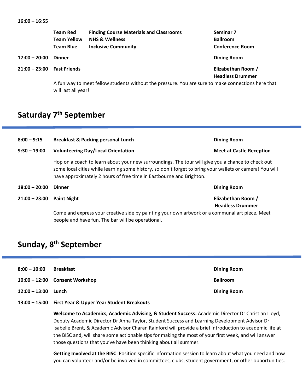|                 | <b>Team Red</b>     | <b>Finding Course Materials and Classrooms</b>                                                     | Seminar <sub>7</sub>    |
|-----------------|---------------------|----------------------------------------------------------------------------------------------------|-------------------------|
|                 | <b>Team Yellow</b>  | <b>NHS &amp; Wellness</b>                                                                          | <b>Ballroom</b>         |
|                 | <b>Team Blue</b>    | <b>Inclusive Community</b>                                                                         | <b>Conference Room</b>  |
| $17:00 - 20:00$ | <b>Dinner</b>       |                                                                                                    | <b>Dining Room</b>      |
| 21:00 - 23:00   | <b>Fast Friends</b> |                                                                                                    | Elizabethan Room /      |
|                 |                     |                                                                                                    | <b>Headless Drummer</b> |
|                 |                     | A fun way to meet fellow students without the pressure. You are sure to make connections here that |                         |

will last all year!

### **Saturday 7 th September**

| $8:00 - 9:15$                                                                                                                                       | <b>Breakfast &amp; Packing personal Lunch</b>                                                                                                                                                                                                                                        | <b>Dining Room</b>              |  |
|-----------------------------------------------------------------------------------------------------------------------------------------------------|--------------------------------------------------------------------------------------------------------------------------------------------------------------------------------------------------------------------------------------------------------------------------------------|---------------------------------|--|
| $9:30 - 19:00$                                                                                                                                      | <b>Volunteering Day/Local Orientation</b>                                                                                                                                                                                                                                            | <b>Meet at Castle Reception</b> |  |
|                                                                                                                                                     | Hop on a coach to learn about your new surroundings. The tour will give you a chance to check out<br>some local cities while learning some history, so don't forget to bring your wallets or camera! You will<br>have approximately 2 hours of free time in Eastbourne and Brighton. |                                 |  |
| $18:00 - 20:00$                                                                                                                                     | <b>Dining Room</b><br><b>Dinner</b>                                                                                                                                                                                                                                                  |                                 |  |
| $21:00 - 23:00$                                                                                                                                     | Elizabethan Room /<br><b>Paint Night</b><br><b>Headless Drummer</b>                                                                                                                                                                                                                  |                                 |  |
| Come and express your creative side by painting your own artwork or a communal art piece. Meet<br>people and have fun. The bar will be operational. |                                                                                                                                                                                                                                                                                      |                                 |  |

### **Sunday, 8 th September**

| $8:00 - 10:00$  | <b>Breakfast</b>                 | <b>Dining Room</b> |
|-----------------|----------------------------------|--------------------|
|                 | $10:00 - 12:00$ Consent Workshop | <b>Ballroom</b>    |
| $12:00 - 13:00$ | Lunch                            | <b>Dining Room</b> |

**13:00 – 15:00 First Year & Upper Year Student Breakouts**

**Welcome to Academics, Academic Advising, & Student Success:** Academic Director Dr Christian Lloyd, Deputy Academic Director Dr Anna Taylor, Student Success and Learning Development Advisor Dr Isabelle Brent, & Academic Advisor Charan Rainford will provide a brief introduction to academic life at the BISC and, will share some actionable tips for making the most of your first week, and will answer those questions that you've have been thinking about all summer.

**Getting Involved at the BISC**: Position specific information session to learn about what you need and how you can volunteer and/or be involved in committees, clubs, student government, or other opportunities.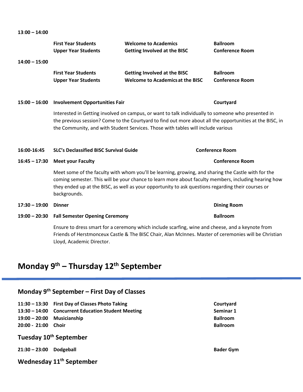**13**:**00 – 14:00**

| $14:00 - 15:00$ | <b>First Year Students</b><br><b>Upper Year Students</b>                                                                                                                                                                                                                                                                          | <b>Welcome to Academics</b><br><b>Getting Involved at the BISC</b>                              | <b>Ballroom</b><br><b>Conference Room</b> |
|-----------------|-----------------------------------------------------------------------------------------------------------------------------------------------------------------------------------------------------------------------------------------------------------------------------------------------------------------------------------|-------------------------------------------------------------------------------------------------|-------------------------------------------|
|                 | <b>First Year Students</b><br><b>Upper Year Students</b>                                                                                                                                                                                                                                                                          | <b>Getting Involved at the BISC</b><br><b>Welcome to Academics at the BISC</b>                  | <b>Ballroom</b><br><b>Conference Room</b> |
|                 | 15:00 - 16:00 Involvement Opportunities Fair                                                                                                                                                                                                                                                                                      |                                                                                                 | Courtyard                                 |
|                 | Interested in Getting involved on campus, or want to talk individually to someone who presented in<br>the previous session? Come to the Courtyard to find out more about all the opportunities at the BISC, in<br>the Community, and with Student Services. Those with tables will include various                                |                                                                                                 |                                           |
| 16:00-16:45     | <b>SLC's Declassified BISC Survival Guide</b>                                                                                                                                                                                                                                                                                     |                                                                                                 | <b>Conference Room</b>                    |
| $16:45 - 17:30$ | <b>Meet your Faculty</b>                                                                                                                                                                                                                                                                                                          |                                                                                                 | <b>Conference Room</b>                    |
|                 | Meet some of the faculty with whom you'll be learning, growing, and sharing the Castle with for the<br>coming semester. This will be your chance to learn more about faculty members, including hearing how<br>they ended up at the BISC, as well as your opportunity to ask questions regarding their courses or<br>backgrounds. |                                                                                                 |                                           |
| $17:30 - 19:00$ | <b>Dinner</b>                                                                                                                                                                                                                                                                                                                     |                                                                                                 | <b>Dining Room</b>                        |
|                 | 19:00 - 20:30 Fall Semester Opening Ceremony                                                                                                                                                                                                                                                                                      |                                                                                                 | <b>Ballroom</b>                           |
|                 |                                                                                                                                                                                                                                                                                                                                   | Ensure to dress smart for a ceremony which include scarfing wine and cheese, and a keypote from |                                           |

Ensure to dress smart for a ceremony which include scarfing, wine and cheese, and a keynote from Friends of Herstmonceux Castle & The BISC Chair, Alan McInnes. Master of ceremonies will be Christian Lloyd, Academic Director.

### **Monday 9 th – Thursday 12 th September**

### **Monday 9 th September – First Day of Classes**

- **11:30 – 13:30 First Day of Classes Photo Taking Courtyard**
- **13:30 – 14:00 Concurrent Education Student Meeting Seminar 1**
- **19:00 – 20:00 Musicianship Ballroom**
- **20:00 - 21:00 Choir Ballroom**
- **Tuesday 10 th September**
- **21:30 – 23:00 Dodgeball Bader Gym**
- **Wednesday 11 th September**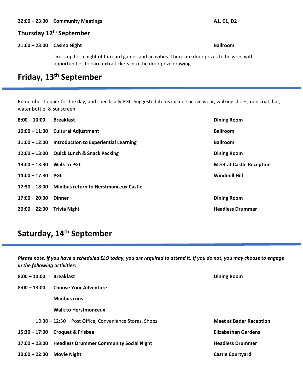#### **22:00 – 23:00 Community Meetings A1, C1, D2**

### **Thursday 12 th September**

#### **21:00 – 23:00 Casino Night Ballroom**

Dress up for a night of fun card games and activities. There are door prizes to be won, with opportunities to earn extra tickets into the door prize drawing.

### **Friday, 13 th September**

Remember to pack for the day, and specifically PGL. Suggested items include active wear, walking shoes, rain coat, hat, water bottle, & sunscreen.

| $8:00 - 10:00$            | <b>Breakfast</b>                                    | <b>Dining Room</b>              |
|---------------------------|-----------------------------------------------------|---------------------------------|
|                           | 10:00 - 11:00 Cultural Adjustment                   | <b>Ballroom</b>                 |
|                           | 11:00 - 12:00 Introduction to Experiential Learning | <b>Ballroom</b>                 |
|                           | 12:00 - 13:00 Quick Lunch & Snack Packing           | <b>Dining Room</b>              |
| 13:00 - 13:30 Walk to PGL |                                                     | <b>Meet at Castle Reception</b> |
| $14:00 - 17:30$           | <b>PGL</b>                                          | <b>Windmill Hill</b>            |
|                           | 17:30 - 18:00 Minibus return to Herstmonceux Castle |                                 |
| $17:00 - 20:00$           | <b>Dinner</b>                                       | <b>Dining Room</b>              |
| $20:00 - 22:00$           | <b>Trivia Night</b>                                 | <b>Headless Drummer</b>         |

### **Saturday, 14 th September**

*Please note, if you have a scheduled ELO today, you are required to attend it. If you do not, you may choose to engage in the following activities:*

| $8:00 - 10:00$  | <b>Breakfast</b><br><b>Dining Room</b>               |                                |  |
|-----------------|------------------------------------------------------|--------------------------------|--|
| $8:00 - 13:00$  | <b>Choose Your Adventure</b>                         |                                |  |
|                 | <b>Minibus runs</b>                                  |                                |  |
|                 | <b>Walk to Herstmonceux</b>                          |                                |  |
|                 | 10:30 – 12:30 Post Office, Convenience Stores, Shops | <b>Meet at Bader Reception</b> |  |
|                 | $15:30 - 17:00$ Croquet & Frisbee                    | <b>Elizabethan Gardens</b>     |  |
| $17:00 - 23:00$ | <b>Headless Drummer Community Social Night</b>       | <b>Headless Drummer</b>        |  |
| $20:00 - 22:00$ | <b>Movie Night</b>                                   | <b>Castle Courtyard</b>        |  |
|                 |                                                      |                                |  |